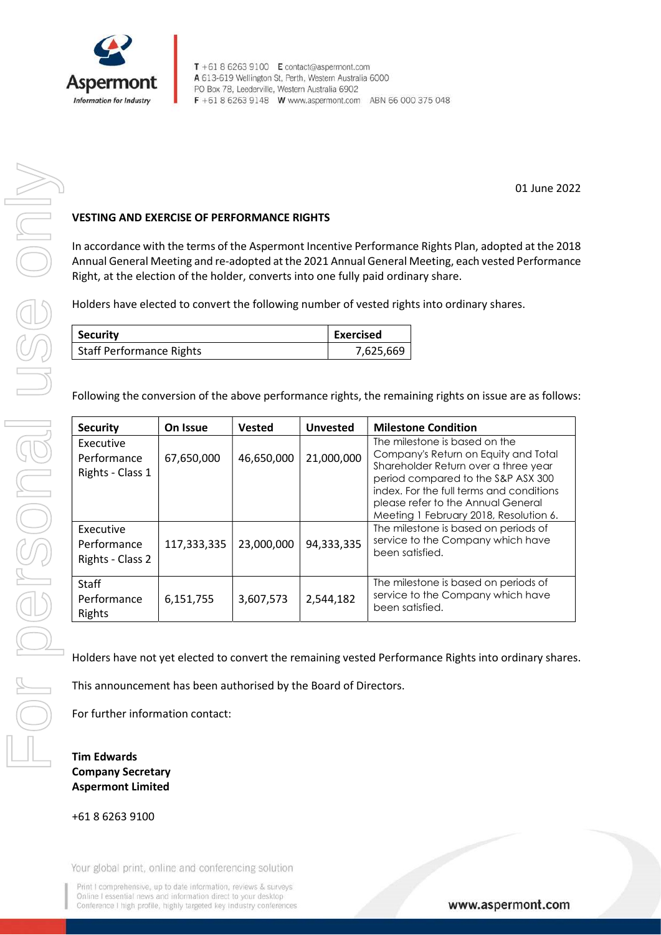

01 June 2022

## VESTING AND EXERCISE OF PERFORMANCE RIGHTS

In accordance with the terms of the Aspermont Incentive Performance Rights Plan, adopted at the 2018 Annual General Meeting and re-adopted at the 2021 Annual General Meeting, each vested Performance Right, at the election of the holder, converts into one fully paid ordinary share.

Holders have elected to convert the following number of vested rights into ordinary shares.

| <b>Security</b>          | <b>Exercised</b> |
|--------------------------|------------------|
| Staff Performance Rights | 7,625,669        |

Following the conversion of the above performance rights, the remaining rights on issue are as follows:

| <b>Security</b>                              | On Issue    | <b>Vested</b> | <b>Unvested</b> | <b>Milestone Condition</b>                                                                                                                                                                                                                                                      |
|----------------------------------------------|-------------|---------------|-----------------|---------------------------------------------------------------------------------------------------------------------------------------------------------------------------------------------------------------------------------------------------------------------------------|
| Executive<br>Performance<br>Rights - Class 1 | 67,650,000  | 46,650,000    | 21,000,000      | The milestone is based on the<br>Company's Return on Equity and Total<br>Shareholder Return over a three year<br>period compared to the S&P ASX 300<br>index. For the full terms and conditions<br>please refer to the Annual General<br>Meeting 1 February 2018, Resolution 6. |
| Executive<br>Performance<br>Rights - Class 2 | 117,333,335 | 23,000,000    | 94,333,335      | The milestone is based on periods of<br>service to the Company which have<br>been satisfied.                                                                                                                                                                                    |
| <b>Staff</b><br>Performance<br>Rights        | 6,151,755   | 3,607,573     | 2,544,182       | The milestone is based on periods of<br>service to the Company which have<br>been satisfied.                                                                                                                                                                                    |

Holders have not yet elected to convert the remaining vested Performance Rights into ordinary shares.

This announcement has been authorised by the Board of Directors.

For further information contact:

## Tim Edwards Company Secretary Aspermont Limited

+61 8 6263 9100

Your global print, online and conferencing solution

Print I comprehensive, up to date information, reviews & surveys Online I essential news and information direct to your desktop Conference I high profile, highly targeted key industry conferences

www.aspermont.com